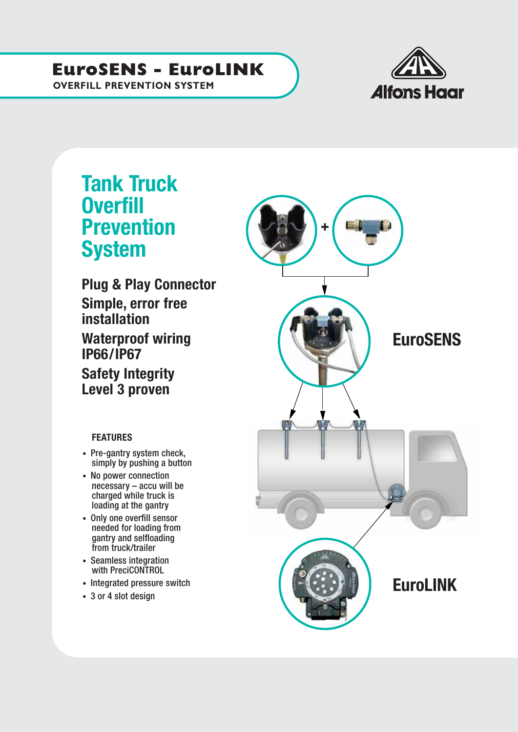### **EuroSENS - EuroLINK**

**Alfons Haar** 

### **OVERFILL PREVENTION SYSTEM**

## Tank Truck **Overfill** Prevention **System**

Plug & Play Connector Simple, error free installation Waterproof wiring IP66/IP67 Safety Integrity Level 3 proven

#### **FEATURES**

- Pre-gantry system check, simply by pushing a button
- No power connection necessary – accu will be charged while truck is loading at the gantry
- Only one overfill sensor needed for loading from gantry and selfloading from truck/trailer
- Seamless integration with PreciCONTROL
- Integrated pressure switch
- 3 or 4 slot design